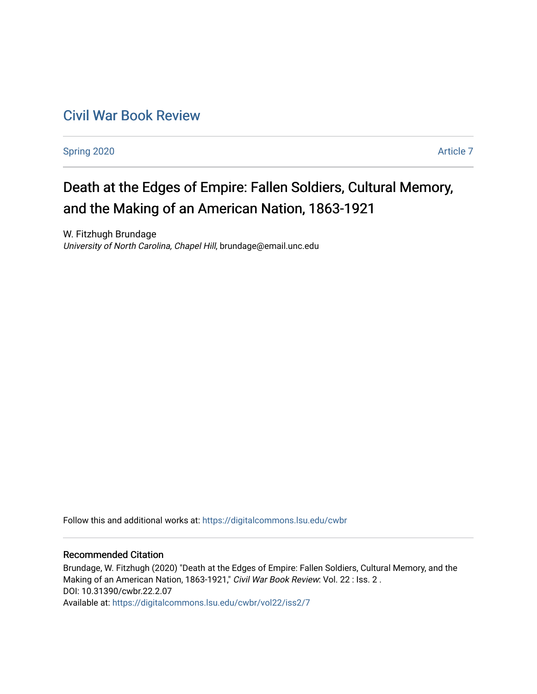# [Civil War Book Review](https://digitalcommons.lsu.edu/cwbr)

[Spring 2020](https://digitalcommons.lsu.edu/cwbr/vol22/iss2) Article 7

# Death at the Edges of Empire: Fallen Soldiers, Cultural Memory, and the Making of an American Nation, 1863-1921

W. Fitzhugh Brundage University of North Carolina, Chapel Hill, brundage@email.unc.edu

Follow this and additional works at: [https://digitalcommons.lsu.edu/cwbr](https://digitalcommons.lsu.edu/cwbr?utm_source=digitalcommons.lsu.edu%2Fcwbr%2Fvol22%2Fiss2%2F7&utm_medium=PDF&utm_campaign=PDFCoverPages) 

### Recommended Citation

Brundage, W. Fitzhugh (2020) "Death at the Edges of Empire: Fallen Soldiers, Cultural Memory, and the Making of an American Nation, 1863-1921," Civil War Book Review: Vol. 22 : Iss. 2. DOI: 10.31390/cwbr.22.2.07 Available at: [https://digitalcommons.lsu.edu/cwbr/vol22/iss2/7](https://digitalcommons.lsu.edu/cwbr/vol22/iss2/7?utm_source=digitalcommons.lsu.edu%2Fcwbr%2Fvol22%2Fiss2%2F7&utm_medium=PDF&utm_campaign=PDFCoverPages)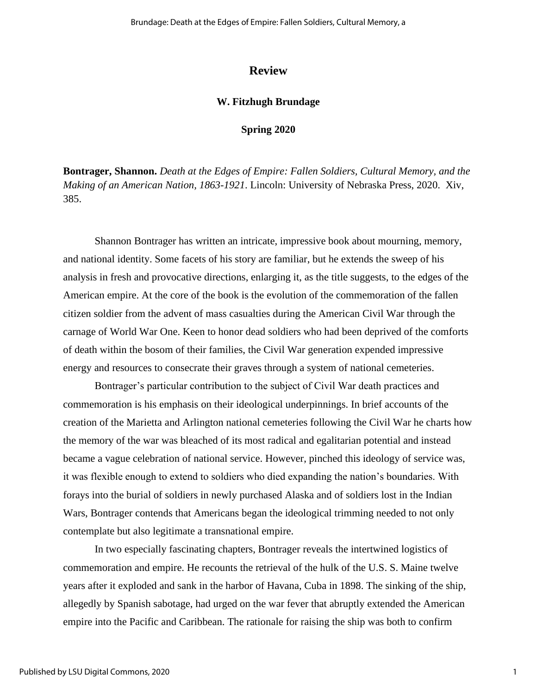## **Review**

#### **W. Fitzhugh Brundage**

#### **Spring 2020**

**Bontrager, Shannon.** *Death at the Edges of Empire: Fallen Soldiers, Cultural Memory, and the Making of an American Nation, 1863-1921*. Lincoln: University of Nebraska Press, 2020. Xiv, 385.

Shannon Bontrager has written an intricate, impressive book about mourning, memory, and national identity. Some facets of his story are familiar, but he extends the sweep of his analysis in fresh and provocative directions, enlarging it, as the title suggests, to the edges of the American empire. At the core of the book is the evolution of the commemoration of the fallen citizen soldier from the advent of mass casualties during the American Civil War through the carnage of World War One. Keen to honor dead soldiers who had been deprived of the comforts of death within the bosom of their families, the Civil War generation expended impressive energy and resources to consecrate their graves through a system of national cemeteries.

Bontrager's particular contribution to the subject of Civil War death practices and commemoration is his emphasis on their ideological underpinnings. In brief accounts of the creation of the Marietta and Arlington national cemeteries following the Civil War he charts how the memory of the war was bleached of its most radical and egalitarian potential and instead became a vague celebration of national service. However, pinched this ideology of service was, it was flexible enough to extend to soldiers who died expanding the nation's boundaries. With forays into the burial of soldiers in newly purchased Alaska and of soldiers lost in the Indian Wars, Bontrager contends that Americans began the ideological trimming needed to not only contemplate but also legitimate a transnational empire.

In two especially fascinating chapters, Bontrager reveals the intertwined logistics of commemoration and empire. He recounts the retrieval of the hulk of the U.S. S. Maine twelve years after it exploded and sank in the harbor of Havana, Cuba in 1898. The sinking of the ship, allegedly by Spanish sabotage, had urged on the war fever that abruptly extended the American empire into the Pacific and Caribbean. The rationale for raising the ship was both to confirm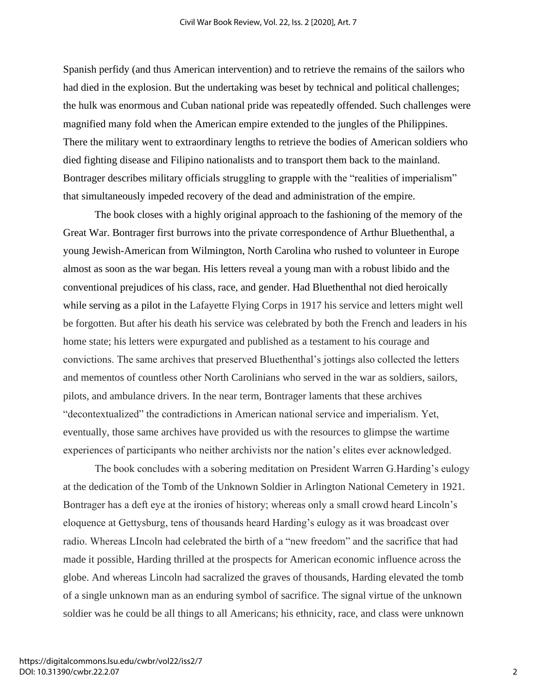Spanish perfidy (and thus American intervention) and to retrieve the remains of the sailors who had died in the explosion. But the undertaking was beset by technical and political challenges; the hulk was enormous and Cuban national pride was repeatedly offended. Such challenges were magnified many fold when the American empire extended to the jungles of the Philippines. There the military went to extraordinary lengths to retrieve the bodies of American soldiers who died fighting disease and Filipino nationalists and to transport them back to the mainland. Bontrager describes military officials struggling to grapple with the "realities of imperialism" that simultaneously impeded recovery of the dead and administration of the empire.

The book closes with a highly original approach to the fashioning of the memory of the Great War. Bontrager first burrows into the private correspondence of Arthur Bluethenthal, a young Jewish-American from Wilmington, North Carolina who rushed to volunteer in Europe almost as soon as the war began. His letters reveal a young man with a robust libido and the conventional prejudices of his class, race, and gender. Had Bluethenthal not died heroically while serving as a pilot in the Lafayette Flying Corps in 1917 his service and letters might well be forgotten. But after his death his service was celebrated by both the French and leaders in his home state; his letters were expurgated and published as a testament to his courage and convictions. The same archives that preserved Bluethenthal's jottings also collected the letters and mementos of countless other North Carolinians who served in the war as soldiers, sailors, pilots, and ambulance drivers. In the near term, Bontrager laments that these archives "decontextualized" the contradictions in American national service and imperialism. Yet, eventually, those same archives have provided us with the resources to glimpse the wartime experiences of participants who neither archivists nor the nation's elites ever acknowledged.

The book concludes with a sobering meditation on President Warren G.Harding's eulogy at the dedication of the Tomb of the Unknown Soldier in Arlington National Cemetery in 1921. Bontrager has a deft eye at the ironies of history; whereas only a small crowd heard Lincoln's eloquence at Gettysburg, tens of thousands heard Harding's eulogy as it was broadcast over radio. Whereas LIncoln had celebrated the birth of a "new freedom" and the sacrifice that had made it possible, Harding thrilled at the prospects for American economic influence across the globe. And whereas Lincoln had sacralized the graves of thousands, Harding elevated the tomb of a single unknown man as an enduring symbol of sacrifice. The signal virtue of the unknown soldier was he could be all things to all Americans; his ethnicity, race, and class were unknown